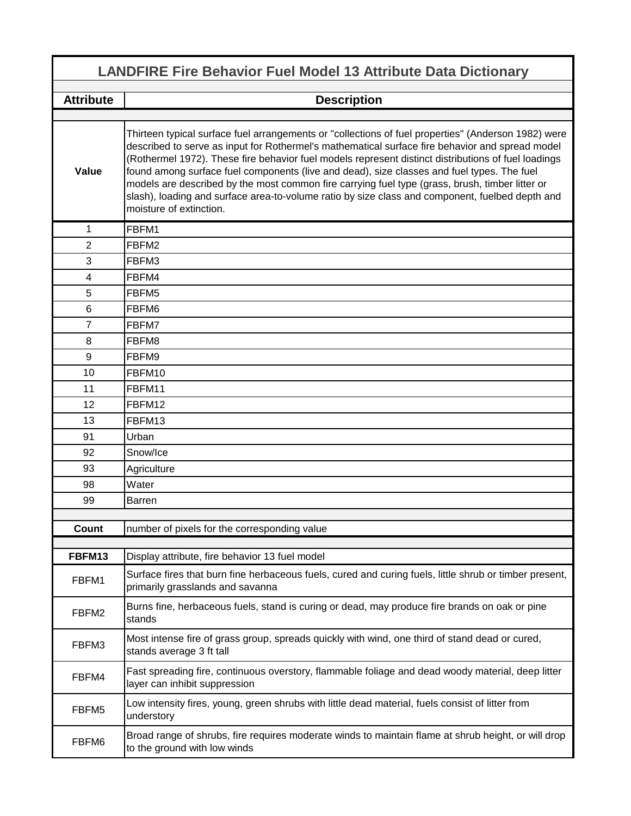| <b>LANDFIRE Fire Behavior Fuel Model 13 Attribute Data Dictionary</b> |                                                                                                                                                                                                                                                                                                                                                                                                                                                                                                                                                                                                                                              |  |
|-----------------------------------------------------------------------|----------------------------------------------------------------------------------------------------------------------------------------------------------------------------------------------------------------------------------------------------------------------------------------------------------------------------------------------------------------------------------------------------------------------------------------------------------------------------------------------------------------------------------------------------------------------------------------------------------------------------------------------|--|
| <b>Attribute</b>                                                      | <b>Description</b>                                                                                                                                                                                                                                                                                                                                                                                                                                                                                                                                                                                                                           |  |
|                                                                       |                                                                                                                                                                                                                                                                                                                                                                                                                                                                                                                                                                                                                                              |  |
| Value                                                                 | Thirteen typical surface fuel arrangements or "collections of fuel properties" (Anderson 1982) were<br>described to serve as input for Rothermel's mathematical surface fire behavior and spread model<br>(Rothermel 1972). These fire behavior fuel models represent distinct distributions of fuel loadings<br>found among surface fuel components (live and dead), size classes and fuel types. The fuel<br>models are described by the most common fire carrying fuel type (grass, brush, timber litter or<br>slash), loading and surface area-to-volume ratio by size class and component, fuelbed depth and<br>moisture of extinction. |  |
| 1                                                                     | FBFM1                                                                                                                                                                                                                                                                                                                                                                                                                                                                                                                                                                                                                                        |  |
| $\overline{2}$                                                        | FBFM2                                                                                                                                                                                                                                                                                                                                                                                                                                                                                                                                                                                                                                        |  |
| 3                                                                     | FBFM3                                                                                                                                                                                                                                                                                                                                                                                                                                                                                                                                                                                                                                        |  |
| $\overline{4}$                                                        | FBFM4                                                                                                                                                                                                                                                                                                                                                                                                                                                                                                                                                                                                                                        |  |
| 5                                                                     | FBFM5                                                                                                                                                                                                                                                                                                                                                                                                                                                                                                                                                                                                                                        |  |
| $\,6$                                                                 | FBFM6                                                                                                                                                                                                                                                                                                                                                                                                                                                                                                                                                                                                                                        |  |
| 7                                                                     | FBFM7                                                                                                                                                                                                                                                                                                                                                                                                                                                                                                                                                                                                                                        |  |
| 8                                                                     | FBFM8                                                                                                                                                                                                                                                                                                                                                                                                                                                                                                                                                                                                                                        |  |
| 9                                                                     | FBFM9                                                                                                                                                                                                                                                                                                                                                                                                                                                                                                                                                                                                                                        |  |
| 10                                                                    | FBFM10                                                                                                                                                                                                                                                                                                                                                                                                                                                                                                                                                                                                                                       |  |
| 11                                                                    | FBFM11                                                                                                                                                                                                                                                                                                                                                                                                                                                                                                                                                                                                                                       |  |
| 12                                                                    | FBFM12                                                                                                                                                                                                                                                                                                                                                                                                                                                                                                                                                                                                                                       |  |
| 13                                                                    | FBFM13                                                                                                                                                                                                                                                                                                                                                                                                                                                                                                                                                                                                                                       |  |
| 91                                                                    | Urban                                                                                                                                                                                                                                                                                                                                                                                                                                                                                                                                                                                                                                        |  |
| 92                                                                    | Snow/Ice                                                                                                                                                                                                                                                                                                                                                                                                                                                                                                                                                                                                                                     |  |
| 93                                                                    | Agriculture                                                                                                                                                                                                                                                                                                                                                                                                                                                                                                                                                                                                                                  |  |
| 98                                                                    | Water                                                                                                                                                                                                                                                                                                                                                                                                                                                                                                                                                                                                                                        |  |
| 99                                                                    | Barren                                                                                                                                                                                                                                                                                                                                                                                                                                                                                                                                                                                                                                       |  |
|                                                                       |                                                                                                                                                                                                                                                                                                                                                                                                                                                                                                                                                                                                                                              |  |
| Count                                                                 | number of pixels for the corresponding value                                                                                                                                                                                                                                                                                                                                                                                                                                                                                                                                                                                                 |  |
| FBFM13                                                                | Display attribute, fire behavior 13 fuel model                                                                                                                                                                                                                                                                                                                                                                                                                                                                                                                                                                                               |  |
| FBFM1                                                                 | Surface fires that burn fine herbaceous fuels, cured and curing fuels, little shrub or timber present,<br>primarily grasslands and savanna                                                                                                                                                                                                                                                                                                                                                                                                                                                                                                   |  |
| FBFM2                                                                 | Burns fine, herbaceous fuels, stand is curing or dead, may produce fire brands on oak or pine<br>stands                                                                                                                                                                                                                                                                                                                                                                                                                                                                                                                                      |  |
| FBFM3                                                                 | Most intense fire of grass group, spreads quickly with wind, one third of stand dead or cured,<br>stands average 3 ft tall                                                                                                                                                                                                                                                                                                                                                                                                                                                                                                                   |  |
| FBFM4                                                                 | Fast spreading fire, continuous overstory, flammable foliage and dead woody material, deep litter<br>layer can inhibit suppression                                                                                                                                                                                                                                                                                                                                                                                                                                                                                                           |  |
| FBFM5                                                                 | Low intensity fires, young, green shrubs with little dead material, fuels consist of litter from<br>understory                                                                                                                                                                                                                                                                                                                                                                                                                                                                                                                               |  |
| FBFM6                                                                 | Broad range of shrubs, fire requires moderate winds to maintain flame at shrub height, or will drop<br>to the ground with low winds                                                                                                                                                                                                                                                                                                                                                                                                                                                                                                          |  |